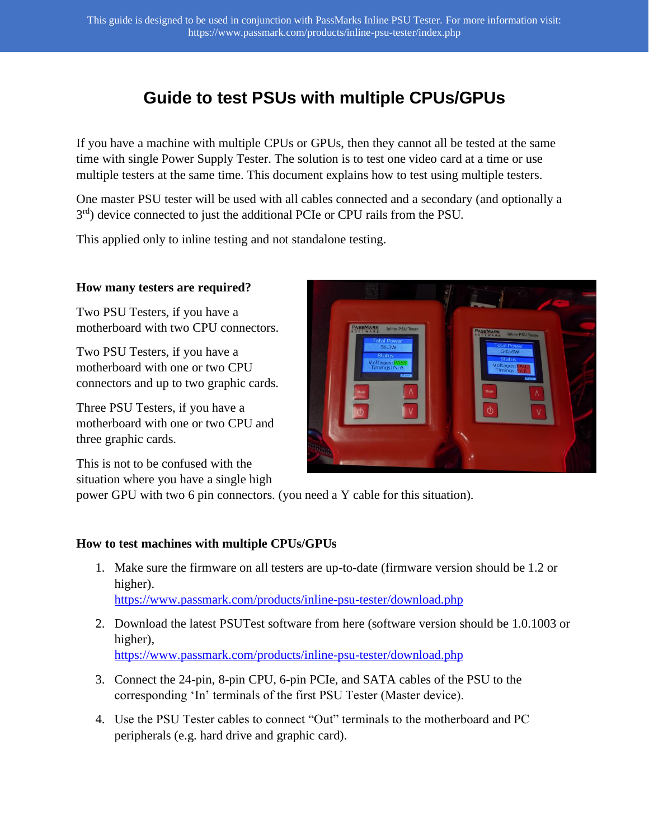## **Guide to test PSUs with multiple CPUs/GPUs**

If you have a machine with multiple CPUs or GPUs, then they cannot all be tested at the same time with single Power Supply Tester. The solution is to test one video card at a time or use multiple testers at the same time. This document explains how to test using multiple testers.

One master PSU tester will be used with all cables connected and a secondary (and optionally a 3<sup>rd</sup>) device connected to just the additional PCIe or CPU rails from the PSU.

This applied only to inline testing and not standalone testing.

## **How many testers are required?**

Two PSU Testers, if you have a motherboard with two CPU connectors.

Two PSU Testers, if you have a motherboard with one or two CPU connectors and up to two graphic cards.

Three PSU Testers, if you have a motherboard with one or two CPU and three graphic cards.

This is not to be confused with the situation where you have a single high



power GPU with two 6 pin connectors. (you need a Y cable for this situation).

## **How to test machines with multiple CPUs/GPUs**

- 1. Make sure the firmware on all testers are up-to-date (firmware version should be 1.2 or higher). <https://www.passmark.com/products/inline-psu-tester/download.php>
- 2. Download the latest PSUTest software from here (software version should be 1.0.1003 or higher),

<https://www.passmark.com/products/inline-psu-tester/download.php>

- 3. Connect the 24-pin, 8-pin CPU, 6-pin PCIe, and SATA cables of the PSU to the corresponding 'In' terminals of the first PSU Tester (Master device).
- 4. Use the PSU Tester cables to connect "Out" terminals to the motherboard and PC peripherals (e.g. hard drive and graphic card).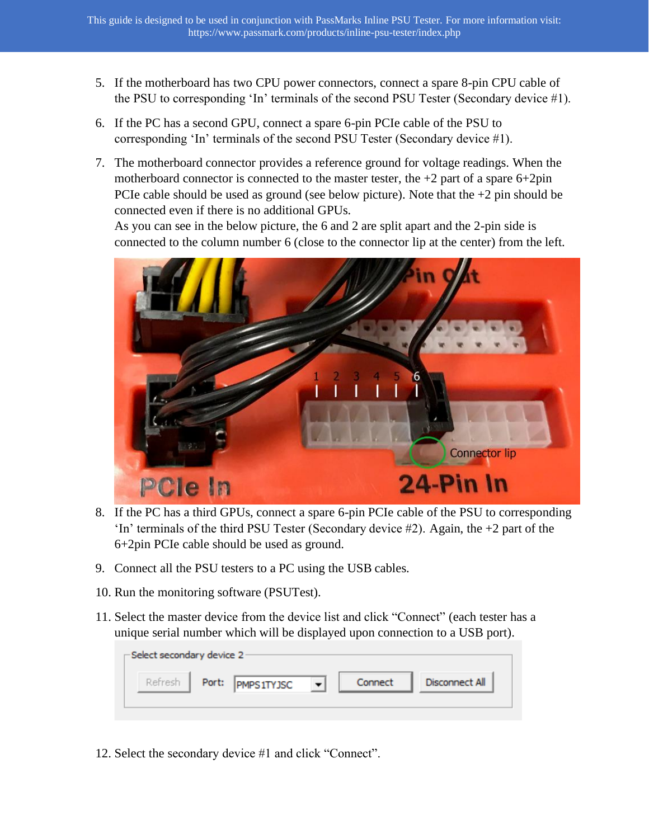- 5. If the motherboard has two CPU power connectors, connect a spare 8-pin CPU cable of the PSU to corresponding 'In' terminals of the second PSU Tester (Secondary device #1).
- 6. If the PC has a second GPU, connect a spare 6-pin PCIe cable of the PSU to corresponding 'In' terminals of the second PSU Tester (Secondary device #1).
- 7. The motherboard connector provides a reference ground for voltage readings. When the motherboard connector is connected to the master tester, the  $+2$  part of a spare  $6+2$ pin PCIe cable should be used as ground (see below picture). Note that the  $+2$  pin should be connected even if there is no additional GPUs.

As you can see in the below picture, the 6 and 2 are split apart and the 2-pin side is connected to the column number 6 (close to the connector lip at the center) from the left.



- 8. If the PC has a third GPUs, connect a spare 6-pin PCIe cable of the PSU to corresponding 'In' terminals of the third PSU Tester (Secondary device  $#2$ ). Again, the  $+2$  part of the 6+2pin PCIe cable should be used as ground.
- 9. Connect all the PSU testers to a PC using the USB cables.
- 10. Run the monitoring software (PSUTest).
- 11. Select the master device from the device list and click "Connect" (each tester has a unique serial number which will be displayed upon connection to a USB port).

| -Select secondary device 2- |       |                   |  |         |                |  |  |  |  |  |  |
|-----------------------------|-------|-------------------|--|---------|----------------|--|--|--|--|--|--|
| Refresh                     | Port: | <b>PMPS1TYJSC</b> |  | Connect | Disconnect All |  |  |  |  |  |  |
|                             |       |                   |  |         |                |  |  |  |  |  |  |

12. Select the secondary device #1 and click "Connect".